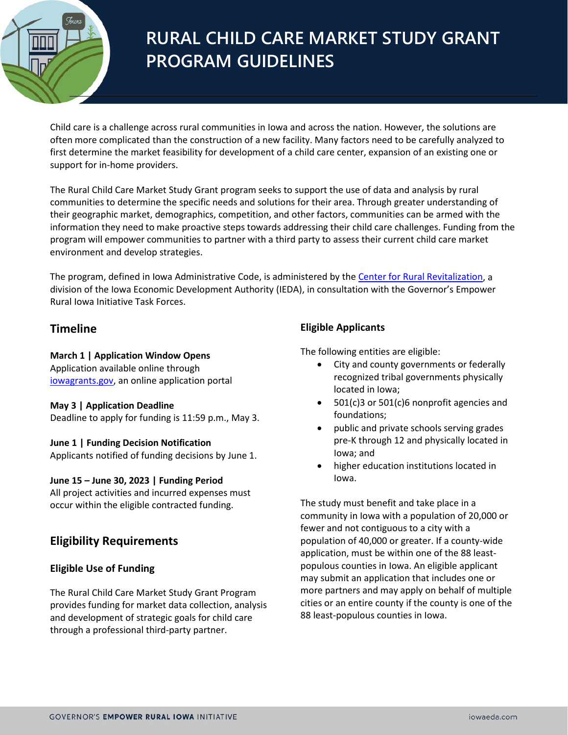

# **RURAL CHILD CARE MARKET STUDY GRANT PROGRAM GUIDELINES**

Child care is a challenge across rural communities in Iowa and across the nation. However, the solutions are often more complicated than the construction of a new facility. Many factors need to be carefully analyzed to first determine the market feasibility for development of a child care center, expansion of an existing one or support for in-home providers.

The Rural Child Care Market Study Grant program seeks to support the use of data and analysis by rural communities to determine the specific needs and solutions for their area. Through greater understanding of their geographic market, demographics, competition, and other factors, communities can be armed with the information they need to make proactive steps towards addressing their child care challenges. Funding from the program will empower communities to partner with a third party to assess their current child care market environment and develop strategies.

The program, defined in [Iowa](https://www.legis.iowa.gov/docs/code/2017/303.3C.pdf) Administrative Code, is administered by the [Center for Rural Revitalization,](https://www.iowaeconomicdevelopment.com/empowerruraliowa) a division of the Iowa Economic Development Authority (IEDA), in consultation with the Governor's Empower Rural Iowa Initiative Task Forces.

# **Timeline**

**March 1 | Application Window Opens**

Application available online through iowagrants.gov, an online application portal

#### **May 3 | Application Deadline**

Deadline to apply for funding is 11:59 p.m., May 3.

#### **June 1 | Funding Decision Notification**

Applicants notified of funding decisions by June 1.

#### **June 15 – June 30, 2023 | Funding Period**

All project activities and incurred expenses must occur within the eligible contracted funding.

# **Eligibility Requirements**

## **Eligible Use of Funding**

The Rural Child Care Market Study Grant Program provides funding for market data collection, analysis and development of strategic goals for child care through a professional third-party partner.

## **Eligible Applicants**

The following entities are eligible:

- City and county governments or federally recognized tribal governments physically located in Iowa;
- 501(c)3 or 501(c)6 nonprofit agencies and foundations;
- public and private schools serving grades pre-K through 12 and physically located in Iowa; and
- higher education institutions located in Iowa.

The study must benefit and take place in a community in Iowa with a population of 20,000 or fewer and not contiguous to a city with a population of 40,000 or greater. If a county-wide application, must be within one of the 88 leastpopulous counties in Iowa. An eligible applicant may submit an application that includes one or more partners and may apply on behalf of multiple cities or an entire county if the county is one of the 88 least-populous counties in Iowa.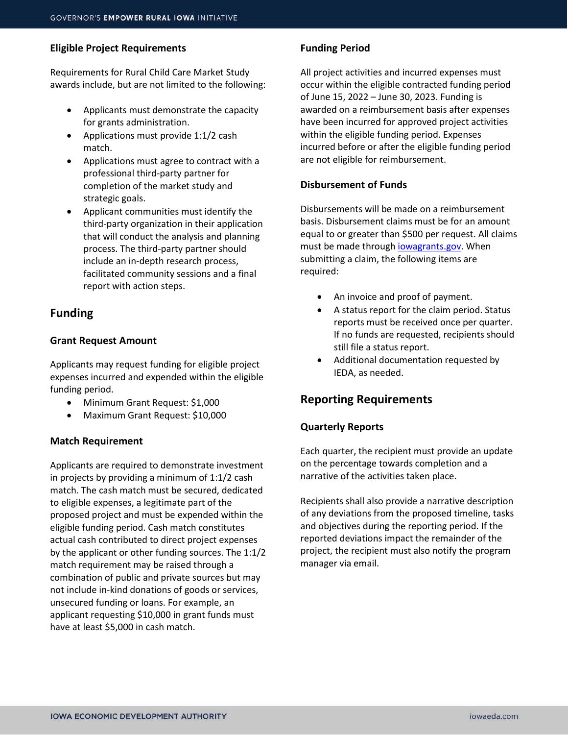#### **Eligible Project Requirements**

Requirements for Rural Child Care Market Study awards include, but are not limited to the following:

- Applicants must demonstrate the capacity for grants administration.
- Applications must provide 1:1/2 cash match.
- Applications must agree to contract with a professional third-party partner for completion of the market study and strategic goals.
- Applicant communities must identify the third-party organization in their application that will conduct the analysis and planning process. The third-party partner should include an in-depth research process, facilitated community sessions and a final report with action steps.

# **Funding**

#### **Grant Request Amount**

Applicants may request funding for eligible project expenses incurred and expended within the eligible funding period.

- Minimum Grant Request: \$1,000
- Maximum Grant Request: \$10,000

#### **Match Requirement**

Applicants are required to demonstrate investment in projects by providing a minimum of 1:1/2 cash match. The cash match must be secured, dedicated to eligible expenses, a legitimate part of the proposed project and must be expended within the eligible funding period. Cash match constitutes actual cash contributed to direct project expenses by the applicant or other funding sources. The 1:1/2 match requirement may be raised through a combination of public and private sources but may not include in-kind donations of goods or services, unsecured funding or loans. For example, an applicant requesting \$10,000 in grant funds must have at least \$5,000 in cash match.

## **Funding Period**

All project activities and incurred expenses must occur within the eligible contracted funding period of June 15, 2022 – June 30, 2023. Funding is awarded on a reimbursement basis after expenses have been incurred for approved project activities within the eligible funding period. Expenses incurred before or after the eligible funding period are not eligible for reimbursement.

#### **Disbursement of Funds**

Disbursements will be made on a reimbursement basis. Disbursement claims must be for an amount equal to or greater than \$500 per request. All claims must be made through iowagrants.gov. When submitting a claim, the following items are required:

- An invoice and proof of payment.
- A status report for the claim period. Status reports must be received once per quarter. If no funds are requested, recipients should still file a status report.
- Additional documentation requested by IEDA, as needed.

# **Reporting Requirements**

#### **Quarterly Reports**

Each quarter, the recipient must provide an update on the percentage towards completion and a narrative of the activities taken place.

Recipients shall also provide a narrative description of any deviations from the proposed timeline, tasks and objectives during the reporting period. If the reported deviations impact the remainder of the project, the recipient must also notify the program manager via email.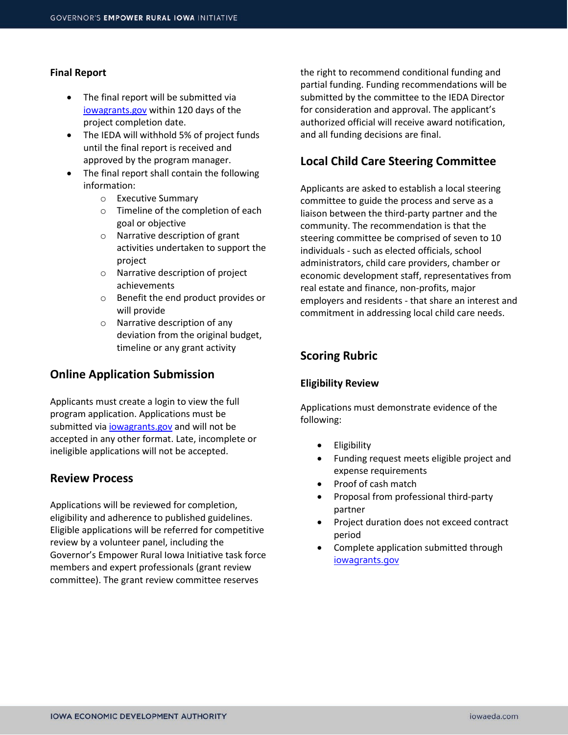#### **Final Report**

- The final report will be submitted via iowagrants.gov within 120 days of the project completion date.
- The IEDA will withhold 5% of project funds until the final report is received and approved by the program manager.
- The final report shall contain the following information:
	- o Executive Summary
	- o Timeline of the completion of each goal or objective
	- o Narrative description of grant activities undertaken to support the project
	- o Narrative description of project achievements
	- o Benefit the end product provides or will provide
	- o Narrative description of any deviation from the original budget, timeline or any grant activity

## **Online Application Submission**

Applicants must create a login to view the full program application. Applications must be submitted via iowagrants.gov and will not be accepted in any other format. Late, incomplete or ineligible applications will not be accepted.

#### **Review Process**

Applications will be reviewed for completion, eligibility and adherence to published guidelines. Eligible applications will be referred for competitive review by a volunteer panel, including the Governor's Empower Rural Iowa Initiative task force members and expert professionals (grant review committee). The grant review committee reserves

the right to recommend conditional funding and partial funding. Funding recommendations will be submitted by the committee to the IEDA Director for consideration and approval. The applicant's authorized official will receive award notification, and all funding decisions are final.

## **Local Child Care Steering Committee**

Applicants are asked to establish a local steering committee to guide the process and serve as a liaison between the third-party partner and the community. The recommendation is that the steering committee be comprised of seven to 10 individuals - such as elected officials, school administrators, child care providers, chamber or economic development staff, representatives from real estate and finance, non-profits, major employers and residents - that share an interest and commitment in addressing local child care needs.

# **Scoring Rubric**

#### **Eligibility Review**

Applications must demonstrate evidence of the following:

- **Eligibility**
- Funding request meets eligible project and expense requirements
- Proof of cash match
- Proposal from professional third-party partner
- Project duration does not exceed contract period
- Complete application submitted through iowagrants.gov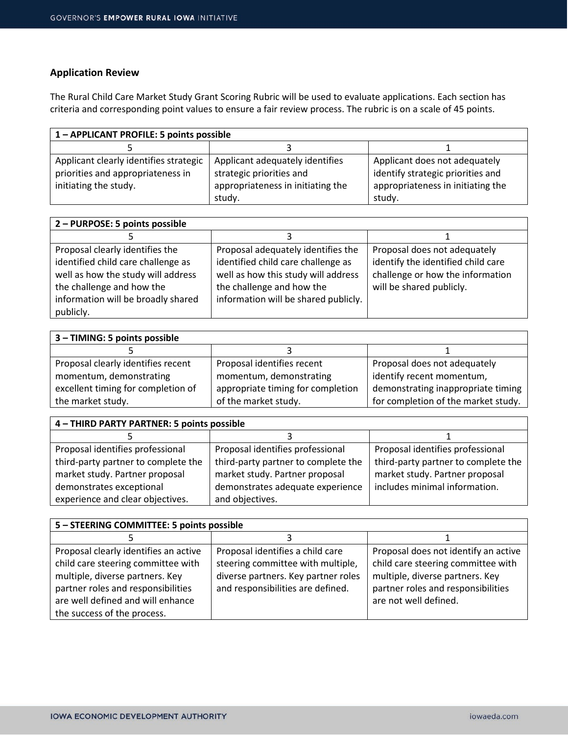## **Application Review**

The Rural Child Care Market Study Grant Scoring Rubric will be used to evaluate applications. Each section has criteria and corresponding point values to ensure a fair review process. The rubric is on a scale of 45 points.

| 1 - APPLICANT PROFILE: 5 points possible |                                   |                                   |  |
|------------------------------------------|-----------------------------------|-----------------------------------|--|
|                                          |                                   |                                   |  |
| Applicant clearly identifies strategic   | Applicant adequately identifies   | Applicant does not adequately     |  |
| priorities and appropriateness in        | strategic priorities and          | identify strategic priorities and |  |
| initiating the study.                    | appropriateness in initiating the | appropriateness in initiating the |  |
|                                          | study.                            | study.                            |  |

| 2 - PURPOSE: 5 points possible     |                                      |                                    |  |
|------------------------------------|--------------------------------------|------------------------------------|--|
|                                    |                                      |                                    |  |
| Proposal clearly identifies the    | Proposal adequately identifies the   | Proposal does not adequately       |  |
| identified child care challenge as | identified child care challenge as   | identify the identified child care |  |
| well as how the study will address | well as how this study will address  | challenge or how the information   |  |
| the challenge and how the          | the challenge and how the            | will be shared publicly.           |  |
| information will be broadly shared | information will be shared publicly. |                                    |  |
| publicly.                          |                                      |                                    |  |

| 3 - TIMING: 5 points possible      |                                   |                                     |
|------------------------------------|-----------------------------------|-------------------------------------|
|                                    |                                   |                                     |
| Proposal clearly identifies recent | Proposal identifies recent        | Proposal does not adequately        |
| momentum, demonstrating            | momentum, demonstrating           | identify recent momentum,           |
| excellent timing for completion of | appropriate timing for completion | demonstrating inappropriate timing  |
| the market study.                  | of the market study.              | for completion of the market study. |

| 4 - THIRD PARTY PARTNER: 5 points possible |                                     |                                     |  |
|--------------------------------------------|-------------------------------------|-------------------------------------|--|
|                                            |                                     |                                     |  |
| Proposal identifies professional           | Proposal identifies professional    | Proposal identifies professional    |  |
| third-party partner to complete the        | third-party partner to complete the | third-party partner to complete the |  |
| market study. Partner proposal             | market study. Partner proposal      | market study. Partner proposal      |  |
| demonstrates exceptional                   | demonstrates adequate experience    | includes minimal information.       |  |
| experience and clear objectives.           | and objectives.                     |                                     |  |

| 5 - STEERING COMMITTEE: 5 points possible |                                     |                                      |  |
|-------------------------------------------|-------------------------------------|--------------------------------------|--|
|                                           |                                     |                                      |  |
| Proposal clearly identifies an active     | Proposal identifies a child care    | Proposal does not identify an active |  |
| child care steering committee with        | steering committee with multiple,   | child care steering committee with   |  |
| multiple, diverse partners. Key           | diverse partners. Key partner roles | multiple, diverse partners. Key      |  |
| partner roles and responsibilities        | and responsibilities are defined.   | partner roles and responsibilities   |  |
| are well defined and will enhance         |                                     | are not well defined.                |  |
| the success of the process.               |                                     |                                      |  |